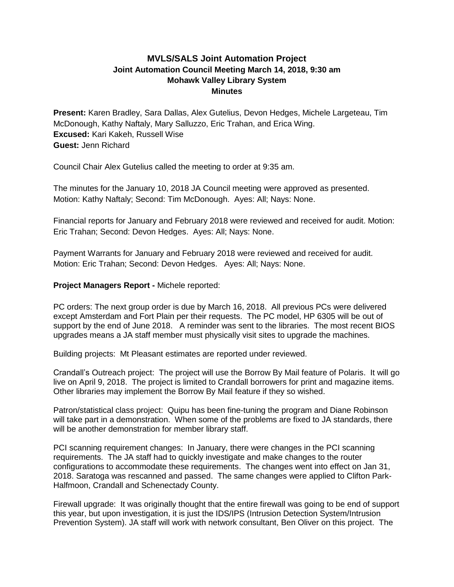## **MVLS/SALS Joint Automation Project Joint Automation Council Meeting March 14, 2018, 9:30 am Mohawk Valley Library System Minutes**

**Present:** Karen Bradley, Sara Dallas, Alex Gutelius, Devon Hedges, Michele Largeteau, Tim McDonough, Kathy Naftaly, Mary Salluzzo, Eric Trahan, and Erica Wing. **Excused:** Kari Kakeh, Russell Wise **Guest:** Jenn Richard

Council Chair Alex Gutelius called the meeting to order at 9:35 am.

The minutes for the January 10, 2018 JA Council meeting were approved as presented. Motion: Kathy Naftaly; Second: Tim McDonough. Ayes: All; Nays: None.

Financial reports for January and February 2018 were reviewed and received for audit. Motion: Eric Trahan; Second: Devon Hedges. Ayes: All; Nays: None.

Payment Warrants for January and February 2018 were reviewed and received for audit. Motion: Eric Trahan; Second: Devon Hedges. Ayes: All; Nays: None.

## **Project Managers Report -** Michele reported:

PC orders: The next group order is due by March 16, 2018. All previous PCs were delivered except Amsterdam and Fort Plain per their requests. The PC model, HP 6305 will be out of support by the end of June 2018. A reminder was sent to the libraries. The most recent BIOS upgrades means a JA staff member must physically visit sites to upgrade the machines.

Building projects: Mt Pleasant estimates are reported under reviewed.

Crandall's Outreach project: The project will use the Borrow By Mail feature of Polaris. It will go live on April 9, 2018. The project is limited to Crandall borrowers for print and magazine items. Other libraries may implement the Borrow By Mail feature if they so wished.

Patron/statistical class project: Quipu has been fine-tuning the program and Diane Robinson will take part in a demonstration. When some of the problems are fixed to JA standards, there will be another demonstration for member library staff.

PCI scanning requirement changes: In January, there were changes in the PCI scanning requirements. The JA staff had to quickly investigate and make changes to the router configurations to accommodate these requirements. The changes went into effect on Jan 31, 2018. Saratoga was rescanned and passed. The same changes were applied to Clifton Park-Halfmoon, Crandall and Schenectady County.

Firewall upgrade: It was originally thought that the entire firewall was going to be end of support this year, but upon investigation, it is just the IDS/IPS (Intrusion Detection System/Intrusion Prevention System). JA staff will work with network consultant, Ben Oliver on this project. The